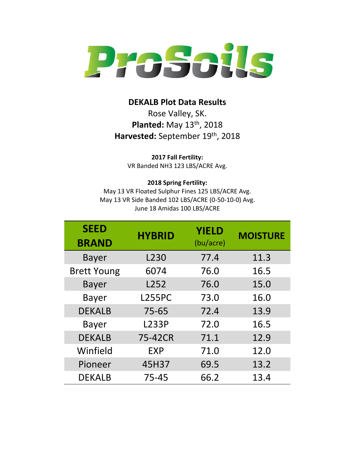

## **DEKALB Plot Data Results**

Rose Valley, SK. **Planted:** May 13<sup>th</sup>, 2018 Harvested: September 19<sup>th</sup>, 2018

**2017 Fall Fertility:**

VR Banded NH3 123 LBS/ACRE Avg.

## **2018 Spring Fertility:**

May 13 VR Floated Sulphur Fines 125 LBS/ACRE Avg. May 13 VR Side Banded 102 LBS/ACRE (0-50-10-0) Avg. June 18 Amidas 100 LBS/ACRE

| <b>SEED</b><br><b>BRAND</b> | <b>HYBRID</b> | <b>YIELD</b><br>(bu/acre) | <b>MOISTURE</b> |
|-----------------------------|---------------|---------------------------|-----------------|
| Bayer                       | L230          | 77.4                      | 11.3            |
| <b>Brett Young</b>          | 6074          | 76.0                      | 16.5            |
| <b>Bayer</b>                | L252          | 76.0                      | 15.0            |
| <b>Bayer</b>                | <b>L255PC</b> | 73.0                      | 16.0            |
| <b>DEKALB</b>               | $75 - 65$     | 72.4                      | 13.9            |
| <b>Bayer</b>                | <b>L233P</b>  | 72.0                      | 16.5            |
| <b>DEKALB</b>               | 75-42CR       | 71.1                      | 12.9            |
| Winfield                    | EXP           | 71.0                      | 12.0            |
| Pioneer                     | 45H37         | 69.5                      | 13.2            |
| <b>DEKALB</b>               | 75-45         | 66.2                      | 13.4            |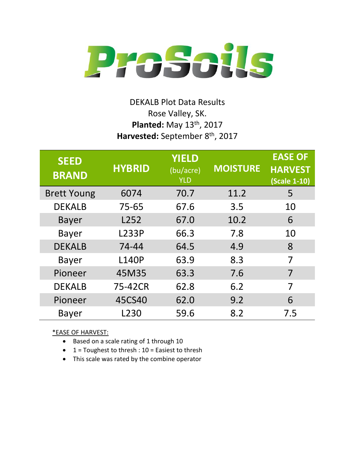

## DEKALB Plot Data Results Rose Valley, SK. **Planted:** May 13<sup>th</sup>, 2017 **Harvested:** September 8 th, 2017

| <b>SEED</b><br><b>BRAND</b> | <b>HYBRID</b> | <b>YIELD</b><br>(bu/acre)<br><b>YLD</b> | <b>MOISTURE</b> | <b>EASE OF</b><br><b>HARVEST</b><br>(Scale 1-10) |
|-----------------------------|---------------|-----------------------------------------|-----------------|--------------------------------------------------|
| <b>Brett Young</b>          | 6074          | 70.7                                    | 11.2            | 5                                                |
| <b>DEKALB</b>               | $75 - 65$     | 67.6                                    | 3.5             | 10                                               |
| <b>Bayer</b>                | L252          | 67.0                                    | 10.2            | 6                                                |
| <b>Bayer</b>                | <b>L233P</b>  | 66.3                                    | 7.8             | 10                                               |
| <b>DEKALB</b>               | 74-44         | 64.5                                    | 4.9             | 8                                                |
| <b>Bayer</b>                | <b>L140P</b>  | 63.9                                    | 8.3             | 7                                                |
| Pioneer                     | 45M35         | 63.3                                    | 7.6             | 7                                                |
| <b>DEKALB</b>               | 75-42CR       | 62.8                                    | 6.2             | 7                                                |
| Pioneer                     | 45CS40        | 62.0                                    | 9.2             | 6                                                |
| Bayer                       | L230          | 59.6                                    | 8.2             | 7.5                                              |

\*EASE OF HARVEST:

- Based on a scale rating of 1 through 10
- $\bullet$  1 = Toughest to thresh : 10 = Easiest to thresh
- This scale was rated by the combine operator